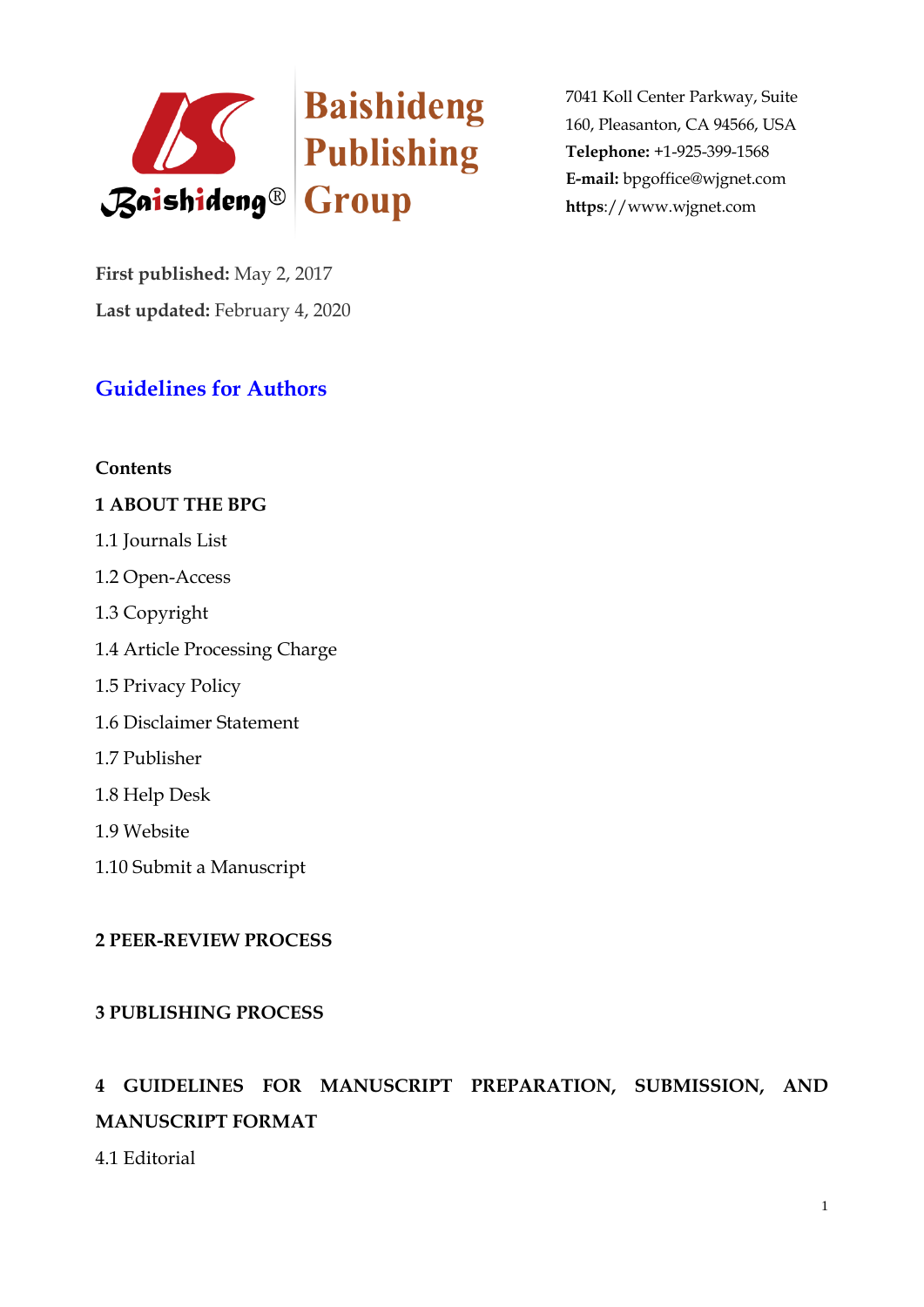

**First published:** May 2, 2017 **Last updated:** February 4, 2020

## **Guidelines for Authors**

#### **Contents**

#### **1 ABOUT THE BPG**

- 1.1 Journals List
- 1.2 Open-Access
- 1.3 Copyright
- 1.4 Article Processing Charge
- 1.5 Privacy Policy
- 1.6 Disclaimer Statement
- 1.7 Publisher
- 1.8 Help Desk
- 1.9 Website
- 1.10 Submit a Manuscript

## **2 PEER-REVIEW PROCESS**

## **3 PUBLISHING PROCESS**

# **4 GUIDELINES FOR MANUSCRIPT PREPARATION, SUBMISSION, AND MANUSCRIPT FORMAT**

4.1 Editorial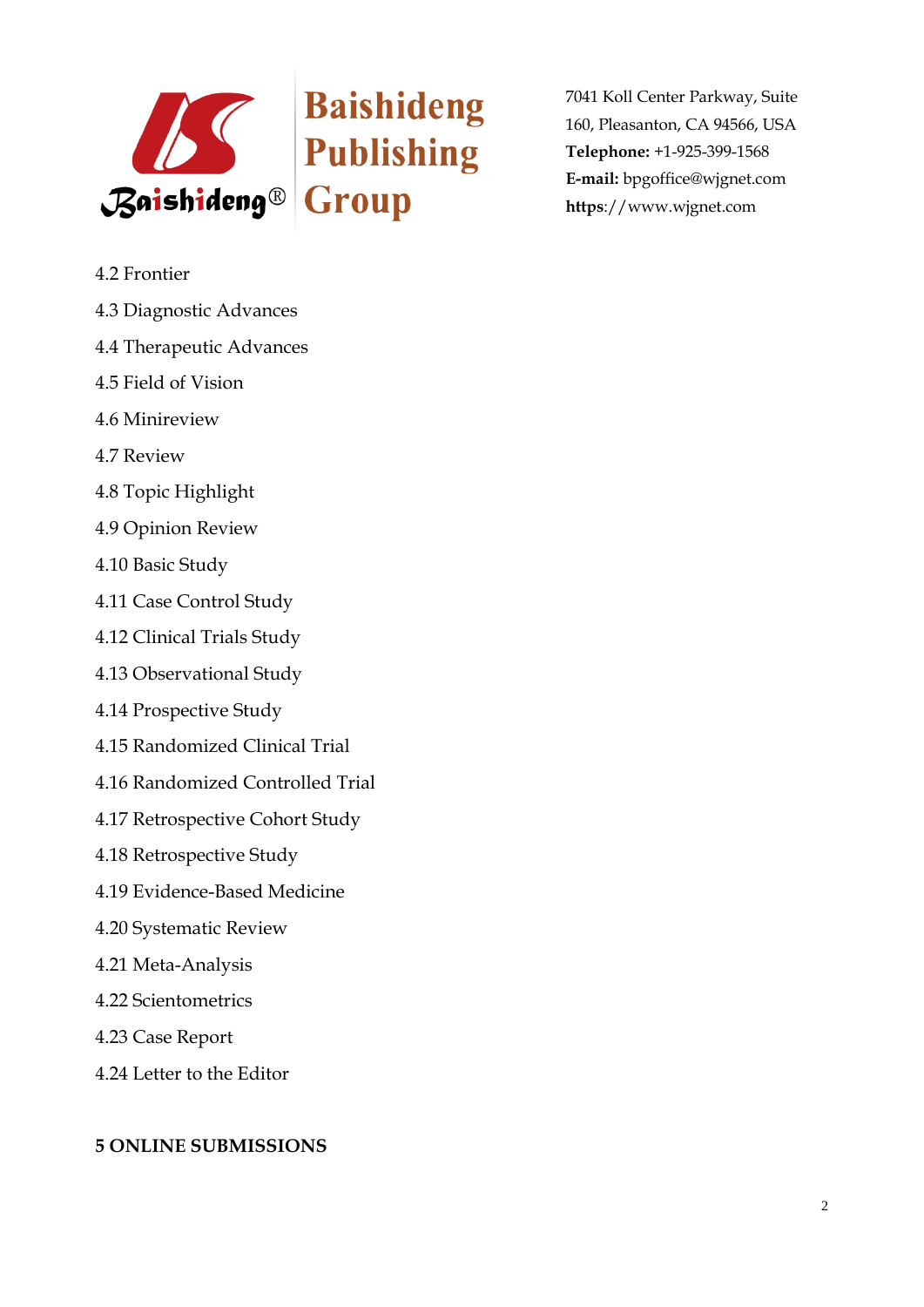

- 4.2 Frontier
- 4.3 Diagnostic Advances
- 4.4 Therapeutic Advances
- 4.5 Field of Vision
- 4.6 Minireview
- 4.7 Review
- 4.8 Topic Highlight
- 4.9 Opinion Review
- 4.10 Basic Study
- 4.11 Case Control Study
- 4.12 Clinical Trials Study
- 4.13 Observational Study
- 4.14 Prospective Study
- 4.15 Randomized Clinical Trial
- 4.16 Randomized Controlled Trial
- 4.17 Retrospective Cohort Study
- 4.18 Retrospective Study
- 4.19 Evidence-Based Medicine
- 4.20 Systematic Review
- 4.21 Meta-Analysis
- 4.22 Scientometrics
- 4.23 Case Report
- 4.24 Letter to the Editor

## **5 ONLINE SUBMISSIONS**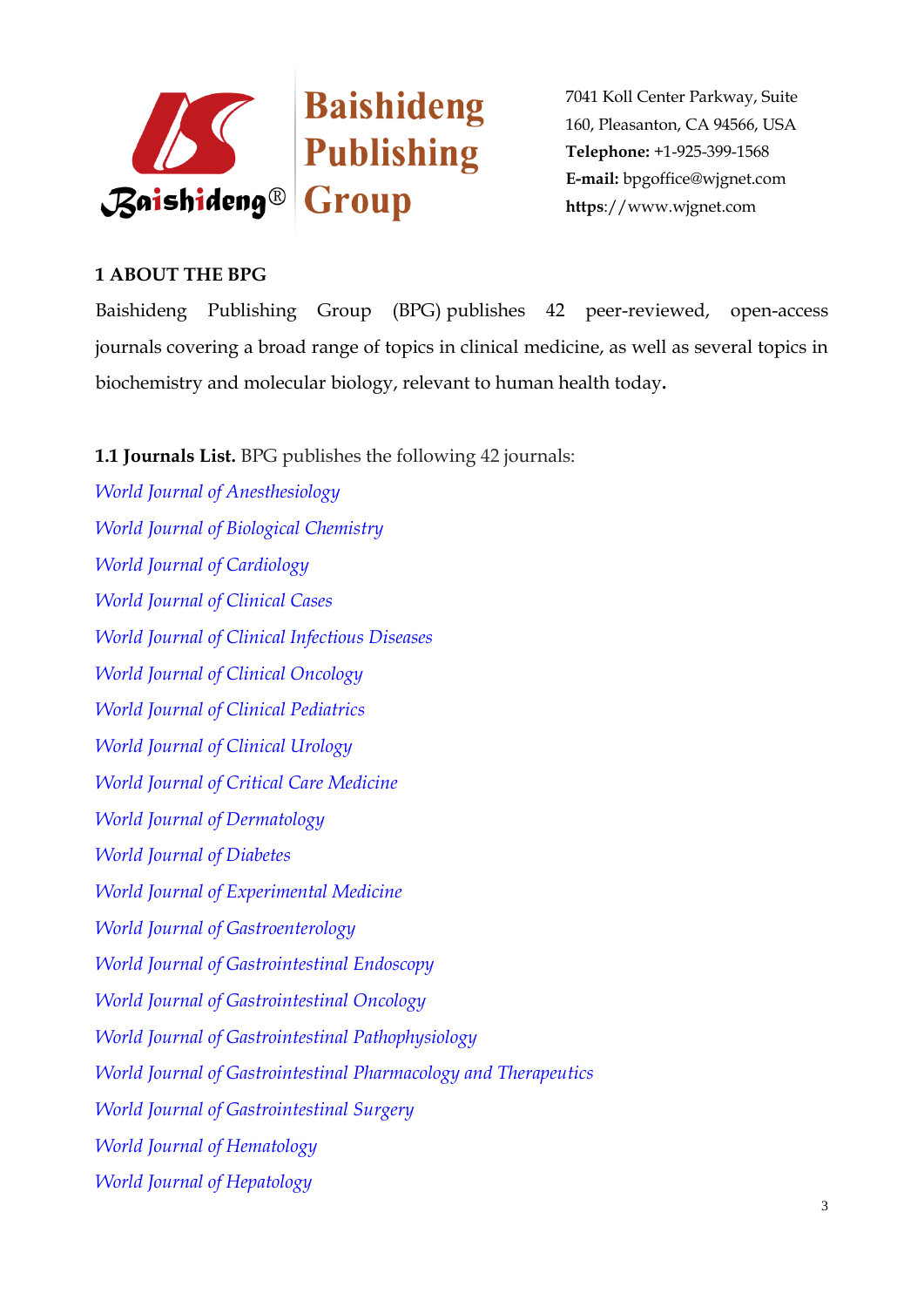



## **1 ABOUT THE BPG**

Baishideng Publishing Group (BPG) publishes 42 peer-reviewed, open-access journals covering a broad range of topics in clinical medicine, as well as several topics in biochemistry and molecular biology, relevant to human health today**.**

**1.1 Journals List.** BPG publishes the following 42 journals:

*[World Journal of Anesthesiology](http://www.wjgnet.com/2218-6182/index.htm) [World Journal of Biological Chemistry](http://www.wjgnet.com/1949-8454/index.htm) [World Journal of Cardiology](http://www.wjgnet.com/1949-8462/index.htm) [World Journal of Clinical Cases](http://www.wjgnet.com/2307-8960/index.htm) [World Journal of Clinical Infectious Diseases](http://www.wjgnet.com/2220-3176/index.htm) [World Journal of Clinical Oncology](http://www.wjgnet.com/2218-4333/index.htm) [World Journal of Clinical Pediatrics](http://www.wjgnet.com/2219-2808/index.htm) [World Journal of Clinical Urology](http://www.wjgnet.com/2219-2816/index.htm) [World Journal of Critical Care Medicine](http://www.wjgnet.com/2220-3141/index.htm) [World Journal of Dermatology](http://www.wjgnet.com/2218-6190/index.htm) [World Journal of Diabetes](http://www.wjgnet.com/1948-9358/index.htm) [World Journal of Experimental Medicine](http://www.wjgnet.com/2220-315X/index.htm) [World Journal of Gastroenterology](http://www.wjgnet.com/1007-9327/index.htm) [World Journal of Gastrointestinal Endoscopy](http://www.wjgnet.com/1948-5190/index.htm) [World Journal of Gastrointestinal Oncology](http://www.wjgnet.com/1948-5204/index.htm) [World Journal of Gastrointestinal Pathophysiology](http://www.wjgnet.com/2150-5330/index.htm) [World Journal of Gastrointestinal Pharmacology and Therapeutics](http://www.wjgnet.com/2150-5349/index.htm) [World Journal of Gastrointestinal Surgery](http://www.wjgnet.com/1948-9366/index.htm) [World Journal of Hematology](http://www.wjgnet.com/2218-6204/index.htm) [World Journal of Hepatology](http://www.wjgnet.com/1948-5182/index.htm)*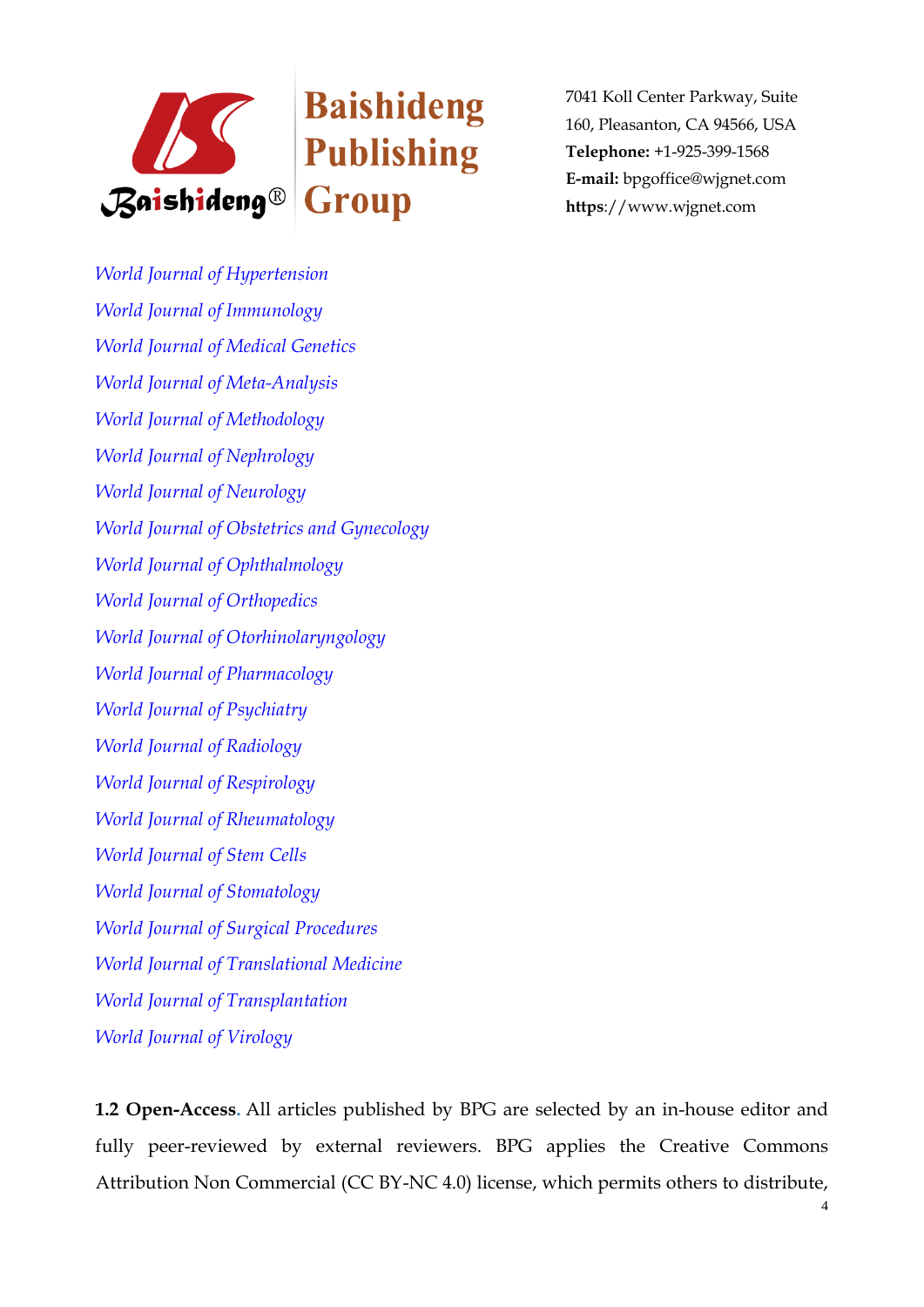

*[World Journal of Hypertension](http://www.wjgnet.com/2220-3168/index.htm) [World Journal of Immunology](http://www.wjgnet.com/2219-2824/index.htm) [World Journal of Medical Genetics](http://www.wjgnet.com/2220-3184/index.htm) [World Journal of Meta-Analysis](http://www.wjgnet.com/2308-3840/index.htm) [World Journal of Methodology](http://www.wjgnet.com/2222-0682/index.htm) [World Journal of Nephrology](http://www.wjgnet.com/2220-6124/index.htm) [World Journal of Neurology](http://www.wjgnet.com/2218-6212/index.htm) [World Journal of Obstetrics and Gynecology](http://www.wjgnet.com/2218-6220/index.htm) [World Journal of Ophthalmology](http://www.wjgnet.com/2218-6239/index.htm) [World Journal of Orthopedics](http://www.wjgnet.com/2218-5836/index.htm) [World Journal of Otorhinolaryngology](http://www.wjgnet.com/2218-6247/index.htm) [World Journal of Pharmacology](http://www.wjgnet.com/2220-3192/index.htm) [World Journal of Psychiatry](http://www.wjgnet.com/2220-3206/index.htm) [World Journal of Radiology](http://www.wjgnet.com/1949-8470/index.htm) [World Journal of Respirology](http://www.wjgnet.com/2218-6255/index.htm) [World Journal of Rheumatology](http://www.wjgnet.com/2220-3214/index.htm) [World Journal of Stem Cells](http://www.wjgnet.com/1948-0210/index.htm) [World Journal of Stomatology](http://www.wjgnet.com/2218-6263/index.htm) [World Journal of Surgical Procedures](http://www.wjgnet.com/2219-2832/index.htm) [World Journal of Translational Medicine](http://www.wjgnet.com/2220-6132/index.htm) [World Journal of Transplantation](http://www.wjgnet.com/2220-3230/index.htm) [World Journal of Virology](http://www.wjgnet.com/2220-3249/index.htm)*

**1.2 Open-Access.** All articles published by BPG are selected by an in-house editor and fully peer-reviewed by external reviewers. BPG applies the Creative Commons Attribution Non Commercial (CC BY-NC 4.0) license, which permits others to distribute,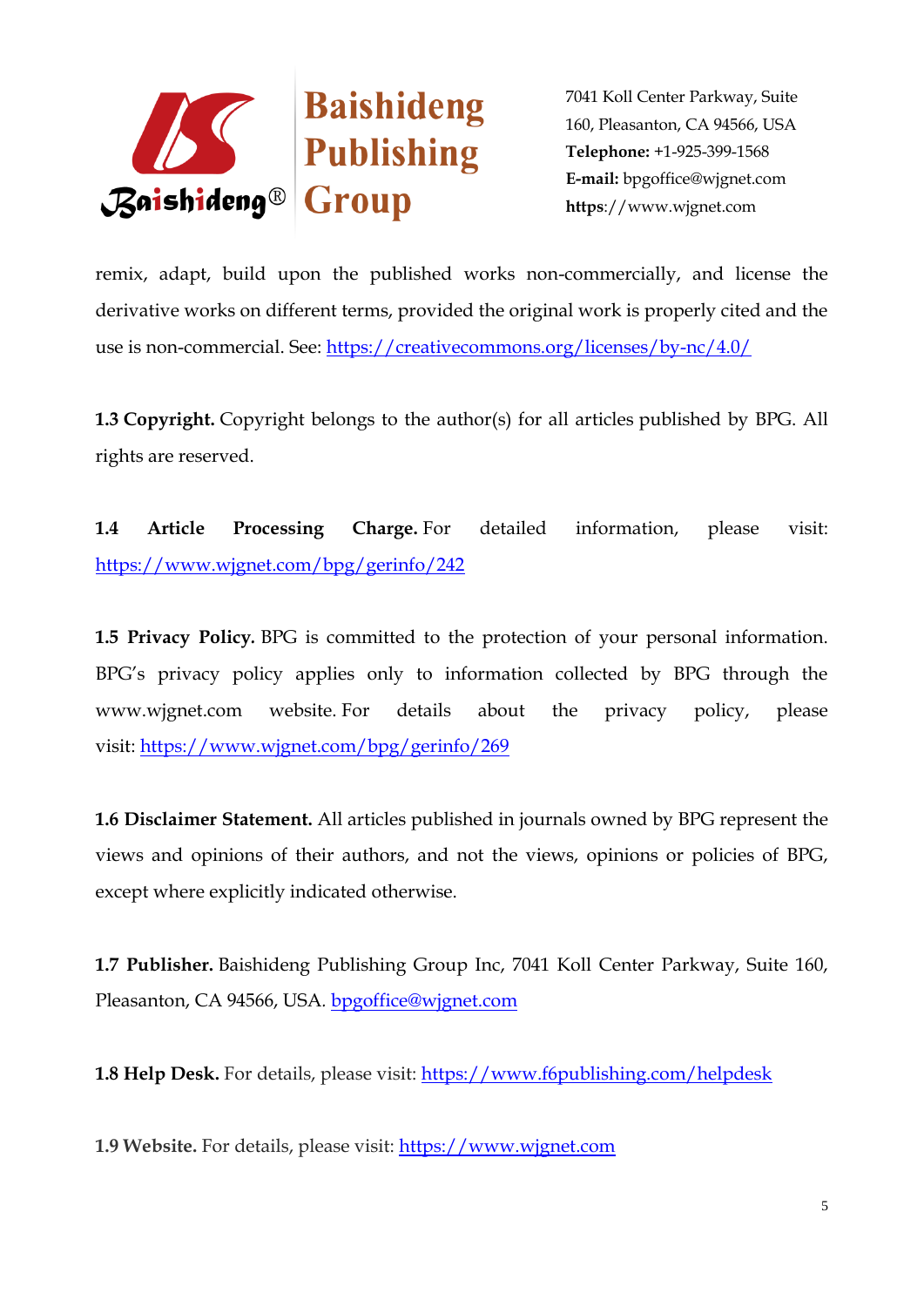

remix, adapt, build upon the published works non-commercially, and license the derivative works on different terms, provided the original work is properly cited and the use is non-commercial. See: <https://creativecommons.org/licenses/by-nc/4.0/>

**1.3 Copyright.** Copyright belongs to the author(s) for all articles published by BPG. All rights are reserved.

**1.4 Article Processing Charge.** For detailed information, please visit: <https://www.wjgnet.com/bpg/gerinfo/242>

**1.5 Privacy Policy***.* BPG is committed to the protection of your personal information. BPG's privacy policy applies only to information collected by BPG through the www.wjgnet.com website. For details about the privacy policy, please visit: <https://www.wjgnet.com/bpg/gerinfo/269>

**1.6 Disclaimer Statement.** All articles published in journals owned by BPG represent the views and opinions of their authors, and not the views, opinions or policies of BPG, except where explicitly indicated otherwise.

**1.7 Publisher.** Baishideng Publishing Group Inc, 7041 Koll Center Parkway, Suite 160, Pleasanton, CA 94566, USA*.* [bpgoffice@wjgnet.com](file:///F:/æç¨¿åºçæµç¨/ä¹¦åè¦æ±-æäº¤-æ ¼å¼/Minireview/bpgoffice@wjgnet.com)

**1.8 Help Desk.** For details, please visit: <https://www.f6publishing.com/helpdesk>

**1.9 Website.** For details, please visit: [https://www.wjgnet.com](https://www.wjgnet.com/)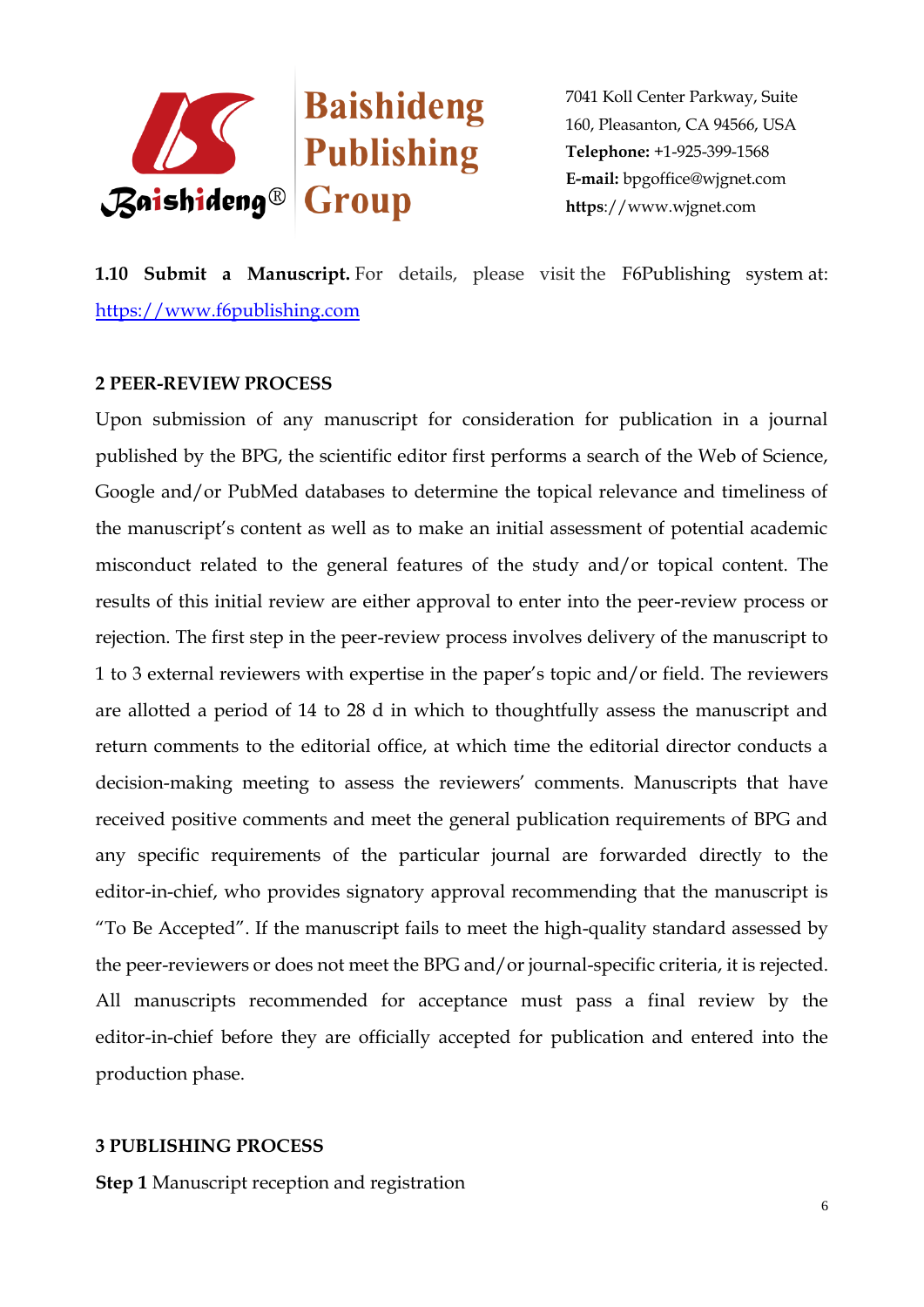

**1.10 Submit a Manuscript.** For details, please visit the F6Publishing system at: [https://www.f6publishing.com](https://www.f6publishing.com/)

#### **2 PEER-REVIEW PROCESS**

Upon submission of any manuscript for consideration for publication in a journal published by the BPG, the scientific editor first performs a search of the Web of Science, Google and/or PubMed databases to determine the topical relevance and timeliness of the manuscript's content as well as to make an initial assessment of potential academic misconduct related to the general features of the study and/or topical content. The results of this initial review are either approval to enter into the peer-review process or rejection. The first step in the peer-review process involves delivery of the manuscript to 1 to 3 external reviewers with expertise in the paper's topic and/or field. The reviewers are allotted a period of 14 to 28 d in which to thoughtfully assess the manuscript and return comments to the editorial office, at which time the editorial director conducts a decision-making meeting to assess the reviewers' comments. Manuscripts that have received positive comments and meet the general publication requirements of BPG and any specific requirements of the particular journal are forwarded directly to the editor-in-chief, who provides signatory approval recommending that the manuscript is "To Be Accepted". If the manuscript fails to meet the high-quality standard assessed by the peer-reviewers or does not meet the BPG and/or journal-specific criteria, it is rejected. All manuscripts recommended for acceptance must pass a final review by the editor-in-chief before they are officially accepted for publication and entered into the production phase.

#### **3 PUBLISHING PROCESS**

**Step 1** Manuscript reception and registration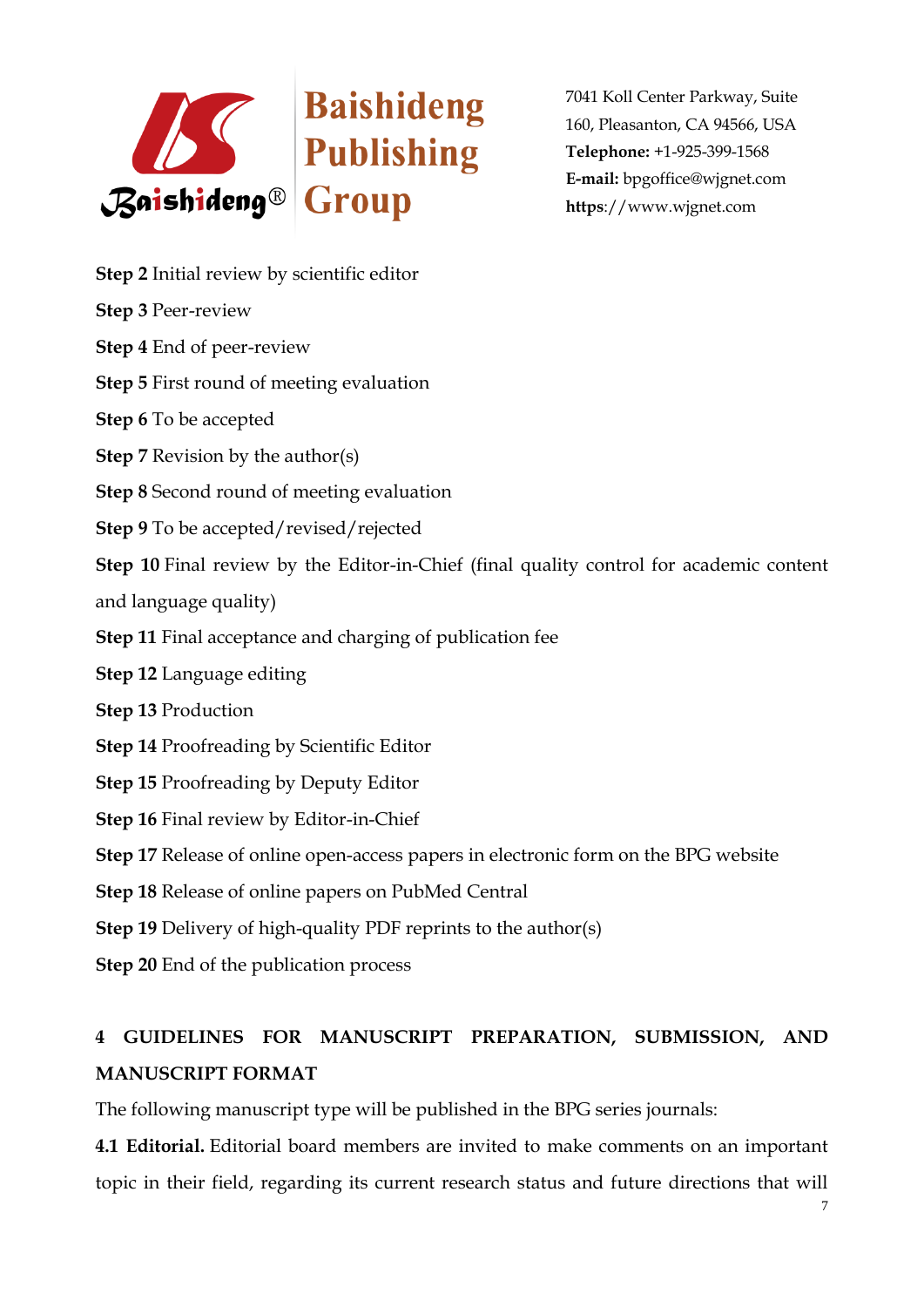

- **Step 2** Initial review by scientific editor
- **Step 3** Peer-review
- **Step 4** End of peer-review
- **Step 5** First round of meeting evaluation
- **Step 6** To be accepted
- **Step 7** Revision by the author(s)
- **Step 8** Second round of meeting evaluation
- **Step 9** To be accepted/revised/rejected

**Step 10** Final review by the Editor-in-Chief (final quality control for academic content and language quality)

- **Step 11** Final acceptance and charging of publication fee
- **Step 12** Language editing
- **Step 13** Production
- **Step 14** Proofreading by Scientific Editor
- **Step 15** Proofreading by Deputy Editor
- **Step 16** Final review by Editor-in-Chief
- **Step 17** Release of online open-access papers in electronic form on the BPG website
- **Step 18** Release of online papers on PubMed Central
- **Step 19** Delivery of high-quality PDF reprints to the author(s)
- **Step 20** End of the publication process

# **4 GUIDELINES FOR MANUSCRIPT PREPARATION, SUBMISSION, AND MANUSCRIPT FORMAT**

The following manuscript type will be published in the BPG series journals:

**4.1 Editorial.** Editorial board members are invited to make comments on an important topic in their field, regarding its current research status and future directions that will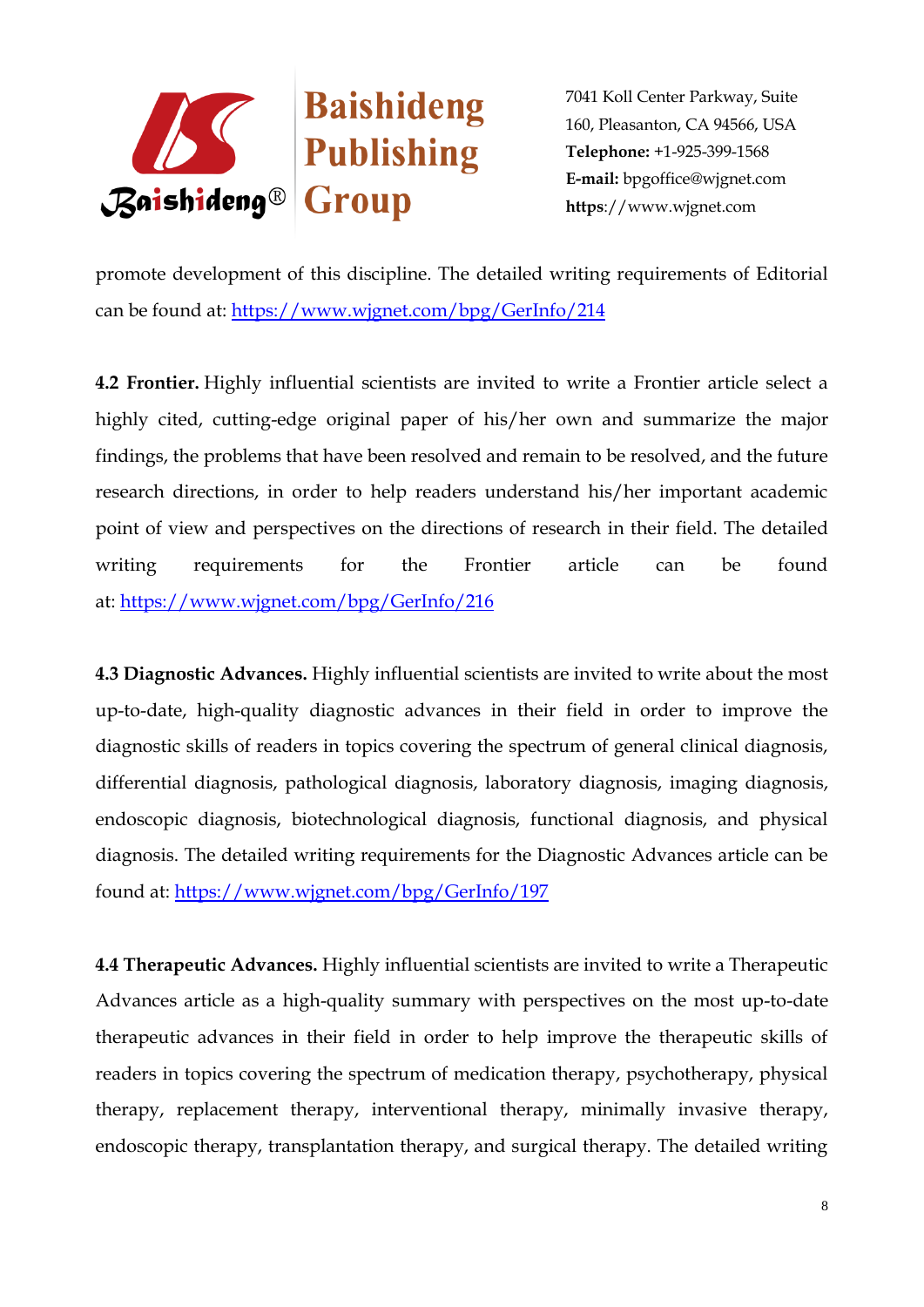

promote development of this discipline. The detailed writing requirements of Editorial can be found at: <https://www.wjgnet.com/bpg/GerInfo/214>

**4.2 Frontier.** Highly influential scientists are invited to write a Frontier article select a highly cited, cutting-edge original paper of his/her own and summarize the major findings, the problems that have been resolved and remain to be resolved, and the future research directions, in order to help readers understand his/her important academic point of view and perspectives on the directions of research in their field. The detailed writing requirements for the Frontier article can be found at: <https://www.wjgnet.com/bpg/GerInfo/216>

**4.3 Diagnostic Advances.** Highly influential scientists are invited to write about the most up-to-date, high-quality diagnostic advances in their field in order to improve the diagnostic skills of readers in topics covering the spectrum of general clinical diagnosis, differential diagnosis, pathological diagnosis, laboratory diagnosis, imaging diagnosis, endoscopic diagnosis, biotechnological diagnosis, functional diagnosis, and physical diagnosis. The detailed writing requirements for the Diagnostic Advances article can be found at: <https://www.wjgnet.com/bpg/GerInfo/197>

**4.4 Therapeutic Advances.** Highly influential scientists are invited to write a Therapeutic Advances article as a high-quality summary with perspectives on the most up-to-date therapeutic advances in their field in order to help improve the therapeutic skills of readers in topics covering the spectrum of medication therapy, psychotherapy, physical therapy, replacement therapy, interventional therapy, minimally invasive therapy, endoscopic therapy, transplantation therapy, and surgical therapy. The detailed writing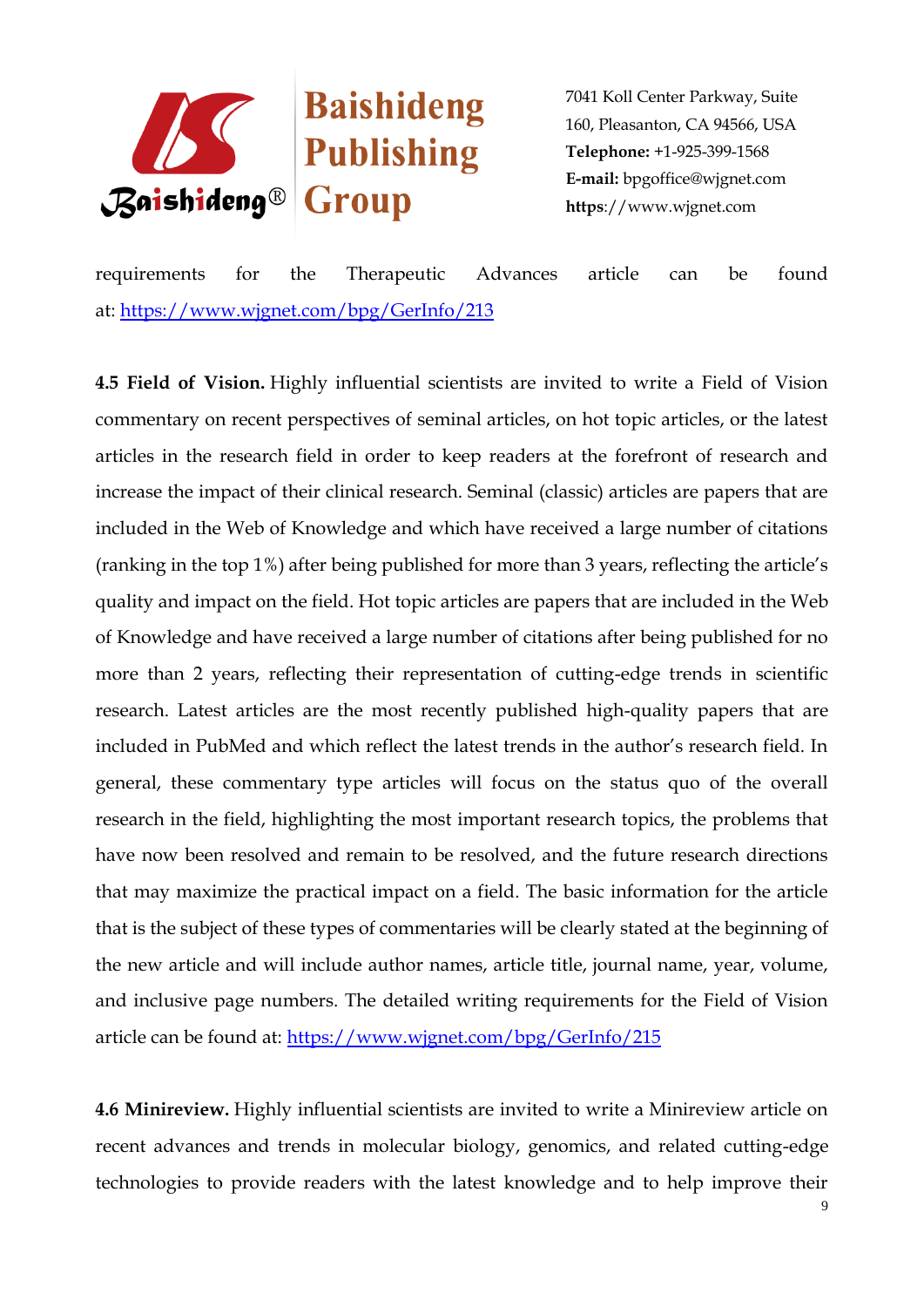

requirements for the Therapeutic Advances article can be found at: <https://www.wjgnet.com/bpg/GerInfo/213>

**4.5 Field of Vision.** Highly influential scientists are invited to write a Field of Vision commentary on recent perspectives of seminal articles, on hot topic articles, or the latest articles in the research field in order to keep readers at the forefront of research and increase the impact of their clinical research. Seminal (classic) articles are papers that are included in the Web of Knowledge and which have received a large number of citations (ranking in the top 1%) after being published for more than 3 years, reflecting the article's quality and impact on the field. Hot topic articles are papers that are included in the Web of Knowledge and have received a large number of citations after being published for no more than 2 years, reflecting their representation of cutting-edge trends in scientific research. Latest articles are the most recently published high-quality papers that are included in PubMed and which reflect the latest trends in the author's research field. In general, these commentary type articles will focus on the status quo of the overall research in the field, highlighting the most important research topics, the problems that have now been resolved and remain to be resolved, and the future research directions that may maximize the practical impact on a field. The basic information for the article that is the subject of these types of commentaries will be clearly stated at the beginning of the new article and will include author names, article title, journal name, year, volume, and inclusive page numbers. The detailed writing requirements for the Field of Vision article can be found at:<https://www.wjgnet.com/bpg/GerInfo/215>

**4.6 Minireview.** Highly influential scientists are invited to write a Minireview article on recent advances and trends in molecular biology, genomics, and related cutting-edge technologies to provide readers with the latest knowledge and to help improve their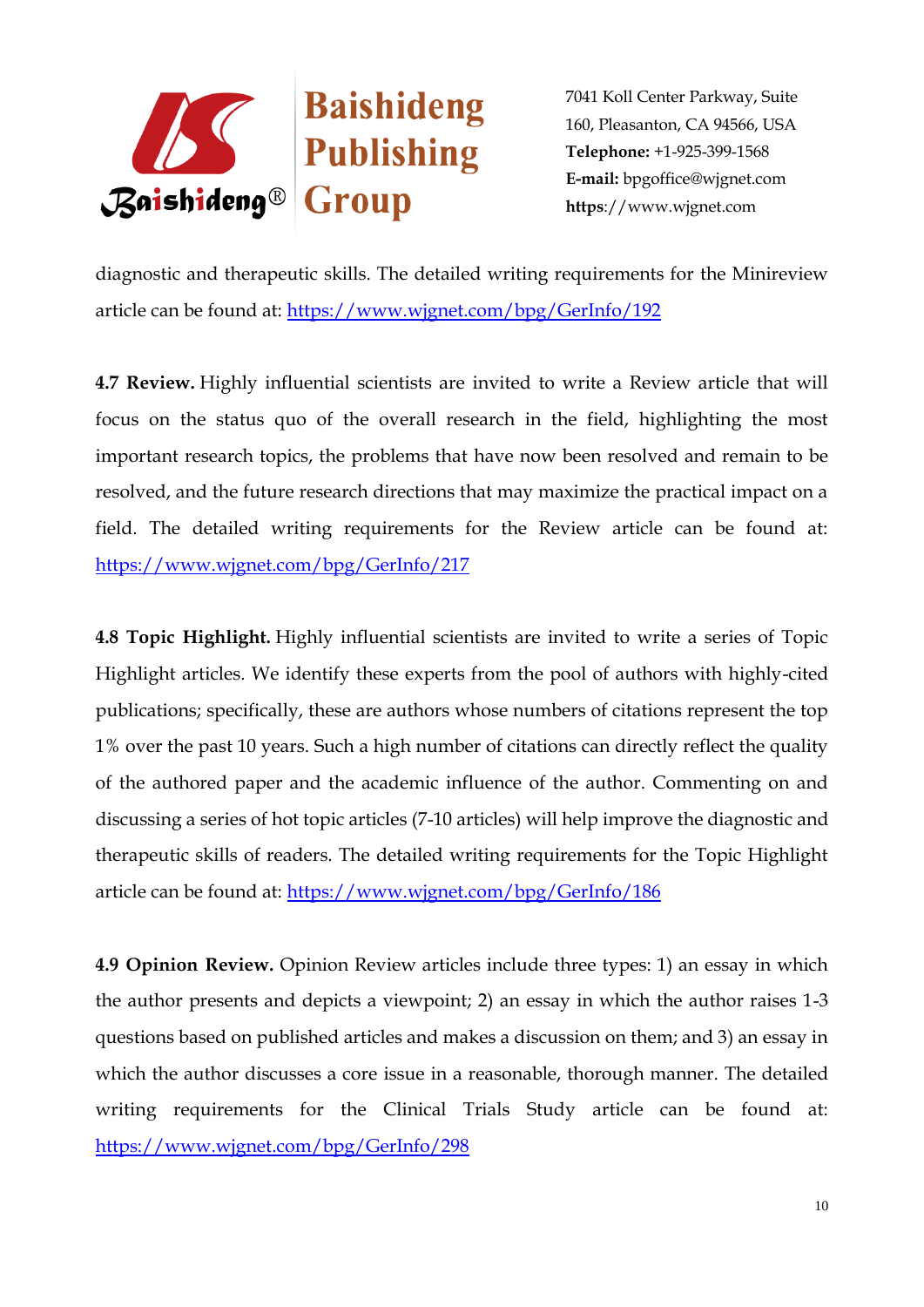

diagnostic and therapeutic skills. The detailed writing requirements for the Minireview article can be found at: <https://www.wjgnet.com/bpg/GerInfo/192>

**4.7 Review.** Highly influential scientists are invited to write a Review article that will focus on the status quo of the overall research in the field, highlighting the most important research topics, the problems that have now been resolved and remain to be resolved, and the future research directions that may maximize the practical impact on a field. The detailed writing requirements for the Review article can be found at: <https://www.wjgnet.com/bpg/GerInfo/217>

**4.8 Topic Highlight.** Highly influential scientists are invited to write a series of Topic Highlight articles. We identify these experts from the pool of authors with highly-cited publications; specifically, these are authors whose numbers of citations represent the top 1% over the past 10 years. Such a high number of citations can directly reflect the quality of the authored paper and the academic influence of the author. Commenting on and discussing a series of hot topic articles (7-10 articles) will help improve the diagnostic and therapeutic skills of readers. The detailed writing requirements for the Topic Highlight article can be found at:<https://www.wjgnet.com/bpg/GerInfo/186>

**4.9 Opinion Review.** Opinion Review articles include three types: 1) an essay in which the author presents and depicts a viewpoint; 2) an essay in which the author raises 1-3 questions based on published articles and makes a discussion on them; and 3) an essay in which the author discusses a core issue in a reasonable, thorough manner. The detailed writing requirements for the Clinical Trials Study article can be found at: <https://www.wjgnet.com/bpg/GerInfo/298>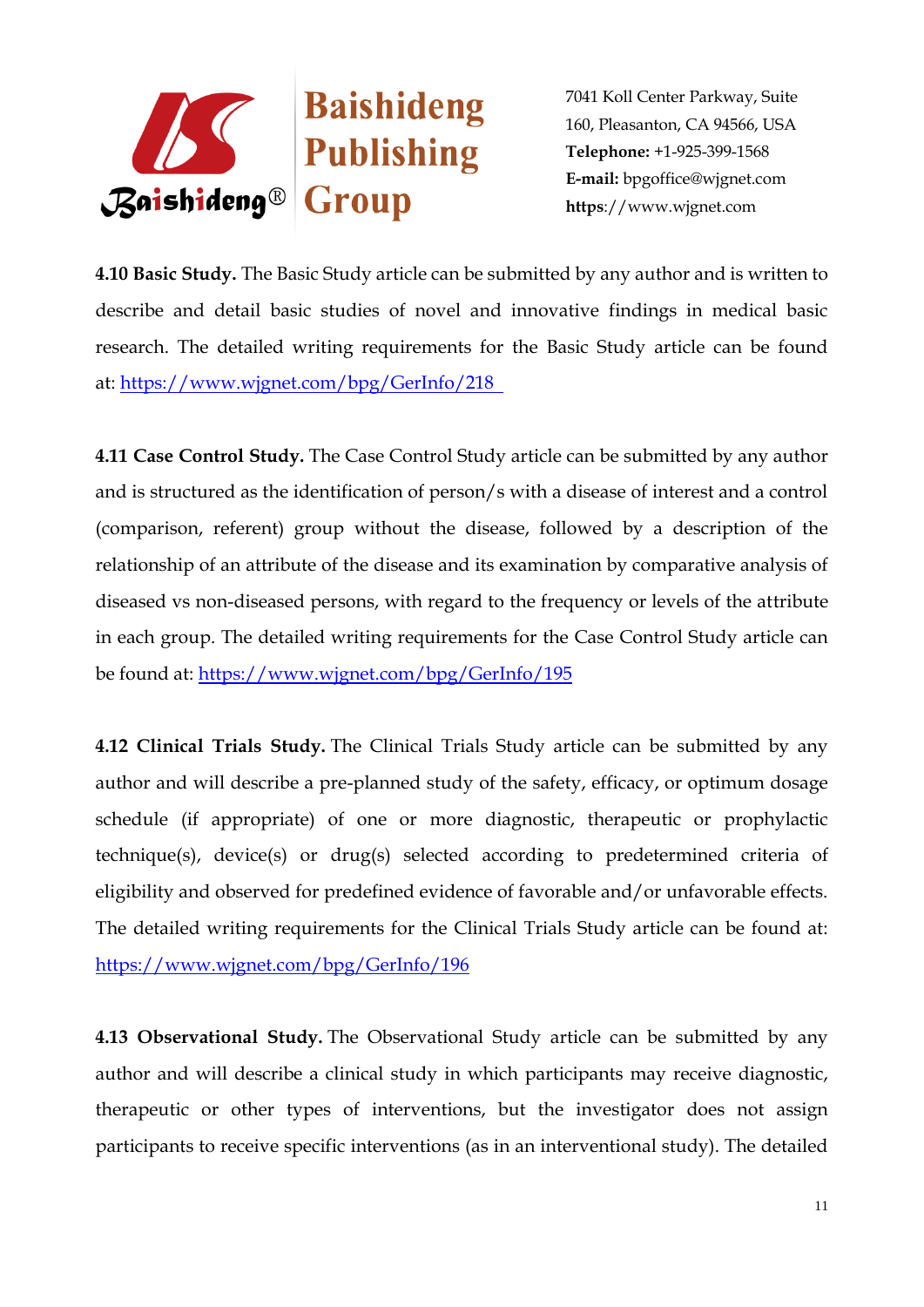

**4.10 Basic Study.** The Basic Study article can be submitted by any author and is written to describe and detail basic studies of novel and innovative findings in medical basic research. The detailed writing requirements for the Basic Study article can be found at: <https://www.wjgnet.com/bpg/GerInfo/218>

**4.11 Case Control Study.** The Case Control Study article can be submitted by any author and is structured as the identification of person/s with a disease of interest and a control (comparison, referent) group without the disease, followed by a description of the relationship of an attribute of the disease and its examination by comparative analysis of diseased vs non-diseased persons, with regard to the frequency or levels of the attribute in each group. The detailed writing requirements for the Case Control Study article can be found at: <https://www.wjgnet.com/bpg/GerInfo/195>

**4.12 Clinical Trials Study.** The Clinical Trials Study article can be submitted by any author and will describe a pre-planned study of the safety, efficacy, or optimum dosage schedule (if appropriate) of one or more diagnostic, therapeutic or prophylactic technique(s), device(s) or drug(s) selected according to predetermined criteria of eligibility and observed for predefined evidence of favorable and/or unfavorable effects. The detailed writing requirements for the Clinical Trials Study article can be found at: <https://www.wjgnet.com/bpg/GerInfo/196>

**4.13 Observational Study.** The Observational Study article can be submitted by any author and will describe a clinical study in which participants may receive diagnostic, therapeutic or other types of interventions, but the investigator does not assign participants to receive specific interventions (as in an interventional study). The detailed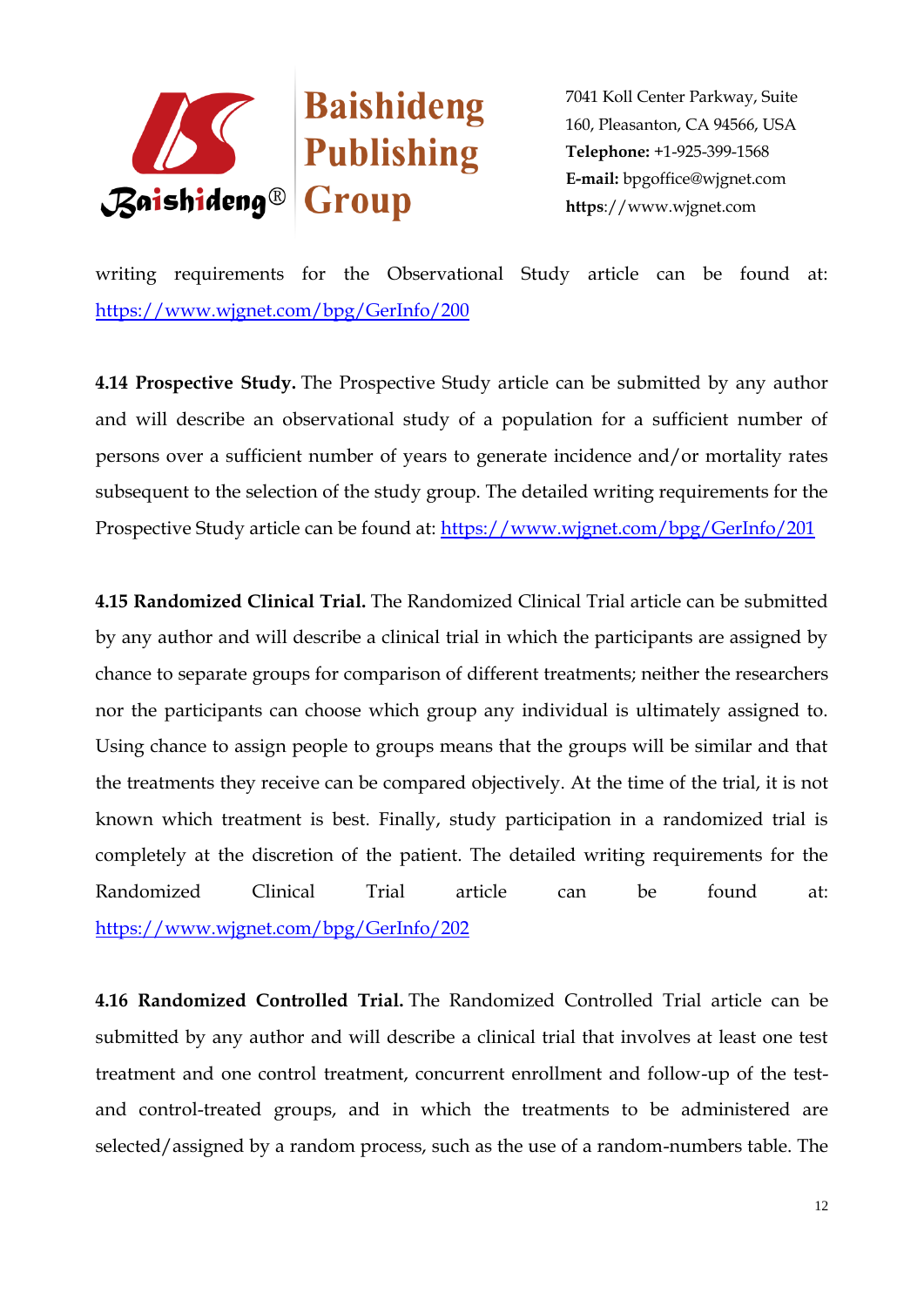

writing requirements for the Observational Study article can be found at: <https://www.wjgnet.com/bpg/GerInfo/200>

**4.14 Prospective Study.** The Prospective Study article can be submitted by any author and will describe an observational study of a population for a sufficient number of persons over a sufficient number of years to generate incidence and/or mortality rates subsequent to the selection of the study group. The detailed writing requirements for the Prospective Study article can be found at: <https://www.wjgnet.com/bpg/GerInfo/201>

**4.15 Randomized Clinical Trial.** The Randomized Clinical Trial article can be submitted by any author and will describe a clinical trial in which the participants are assigned by chance to separate groups for comparison of different treatments; neither the researchers nor the participants can choose which group any individual is ultimately assigned to. Using chance to assign people to groups means that the groups will be similar and that the treatments they receive can be compared objectively. At the time of the trial, it is not known which treatment is best. Finally, study participation in a randomized trial is completely at the discretion of the patient. The detailed writing requirements for the Randomized Clinical Trial article can be found at: <https://www.wjgnet.com/bpg/GerInfo/202>

**4.16 Randomized Controlled Trial.** The Randomized Controlled Trial article can be submitted by any author and will describe a clinical trial that involves at least one test treatment and one control treatment, concurrent enrollment and follow-up of the testand control-treated groups, and in which the treatments to be administered are selected/assigned by a random process, such as the use of a random-numbers table. The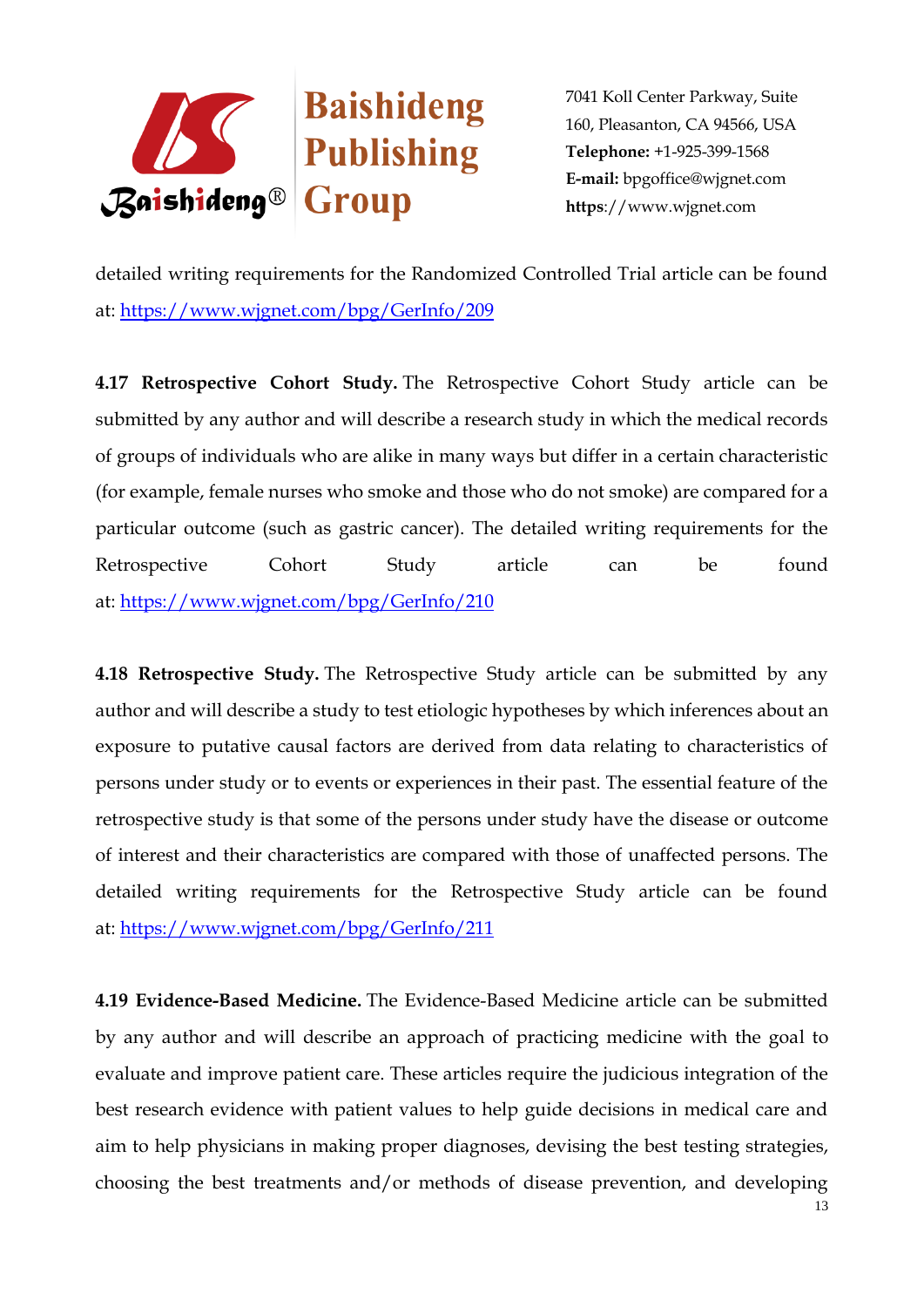

detailed writing requirements for the Randomized Controlled Trial article can be found at: <https://www.wjgnet.com/bpg/GerInfo/209>

**4.17 Retrospective Cohort Study.** The Retrospective Cohort Study article can be submitted by any author and will describe a research study in which the medical records of groups of individuals who are alike in many ways but differ in a certain characteristic (for example, female nurses who smoke and those who do not smoke) are compared for a particular outcome (such as gastric cancer). The detailed writing requirements for the Retrospective Cohort Study article can be found at: <https://www.wjgnet.com/bpg/GerInfo/210>

**4.18 Retrospective Study.** The Retrospective Study article can be submitted by any author and will describe a study to test etiologic hypotheses by which inferences about an exposure to putative causal factors are derived from data relating to characteristics of persons under study or to events or experiences in their past. The essential feature of the retrospective study is that some of the persons under study have the disease or outcome of interest and their characteristics are compared with those of unaffected persons. The detailed writing requirements for the Retrospective Study article can be found at: <https://www.wjgnet.com/bpg/GerInfo/211>

**4.19 Evidence-Based Medicine.** The Evidence-Based Medicine article can be submitted by any author and will describe an approach of practicing medicine with the goal to evaluate and improve patient care. These articles require the judicious integration of the best research evidence with patient values to help guide decisions in medical care and aim to help physicians in making proper diagnoses, devising the best testing strategies, choosing the best treatments and/or methods of disease prevention, and developing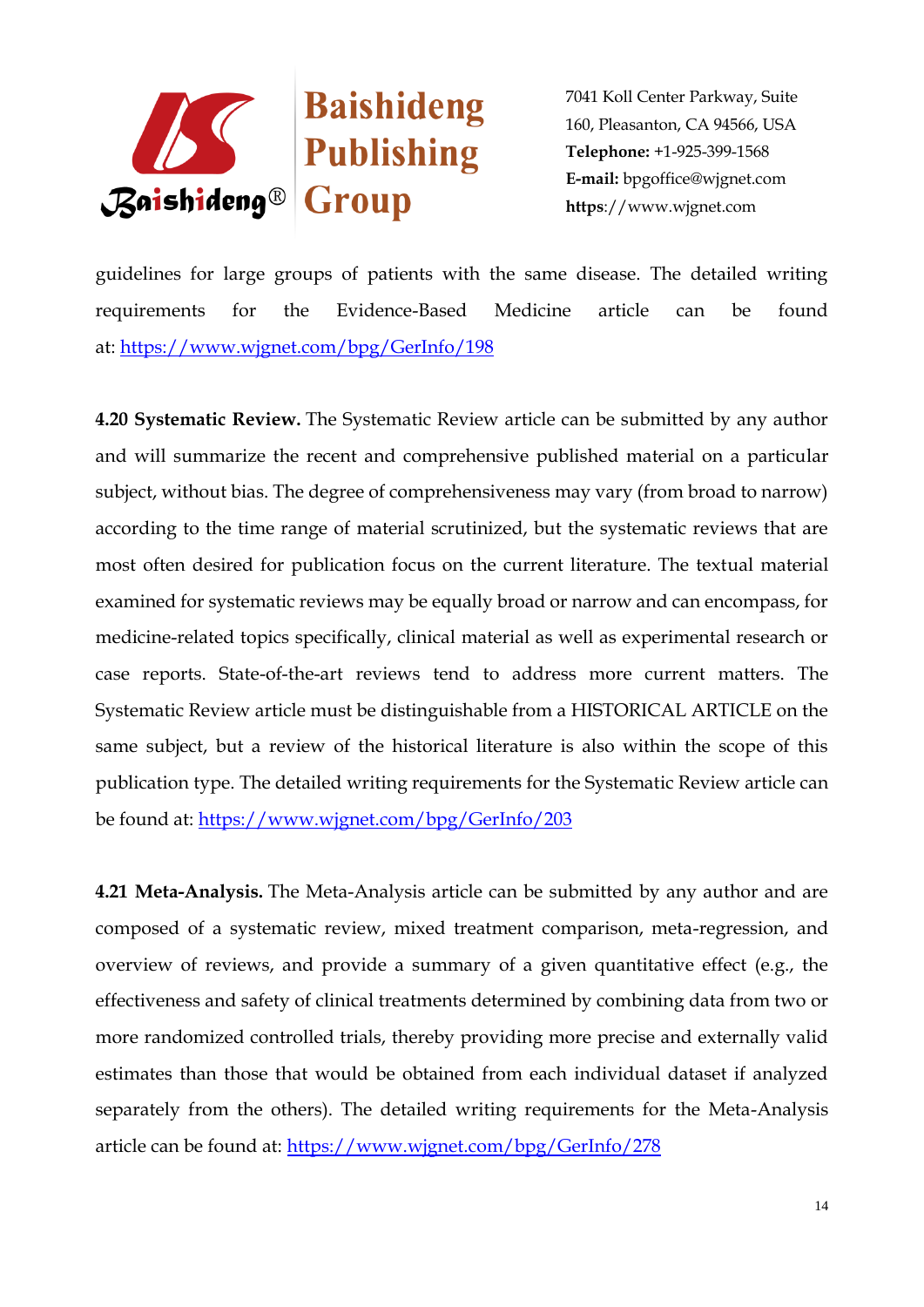

guidelines for large groups of patients with the same disease. The detailed writing requirements for the Evidence-Based Medicine article can be found at: <https://www.wjgnet.com/bpg/GerInfo/198>

**4.20 Systematic Review.** The Systematic Review article can be submitted by any author and will summarize the recent and comprehensive published material on a particular subject, without bias. The degree of comprehensiveness may vary (from broad to narrow) according to the time range of material scrutinized, but the systematic reviews that are most often desired for publication focus on the current literature. The textual material examined for systematic reviews may be equally broad or narrow and can encompass, for medicine-related topics specifically, clinical material as well as experimental research or case reports. State-of-the-art reviews tend to address more current matters. The Systematic Review article must be distinguishable from a HISTORICAL ARTICLE on the same subject, but a review of the historical literature is also within the scope of this publication type. The detailed writing requirements for the Systematic Review article can be found at: <https://www.wjgnet.com/bpg/GerInfo/203>

**4.21 Meta-Analysis.** The Meta-Analysis article can be submitted by any author and are composed of a systematic review, mixed treatment comparison, meta-regression, and overview of reviews, and provide a summary of a given quantitative effect (e.g., the effectiveness and safety of clinical treatments determined by combining data from two or more randomized controlled trials, thereby providing more precise and externally valid estimates than those that would be obtained from each individual dataset if analyzed separately from the others). The detailed writing requirements for the Meta-Analysis article can be found at:<https://www.wjgnet.com/bpg/GerInfo/278>